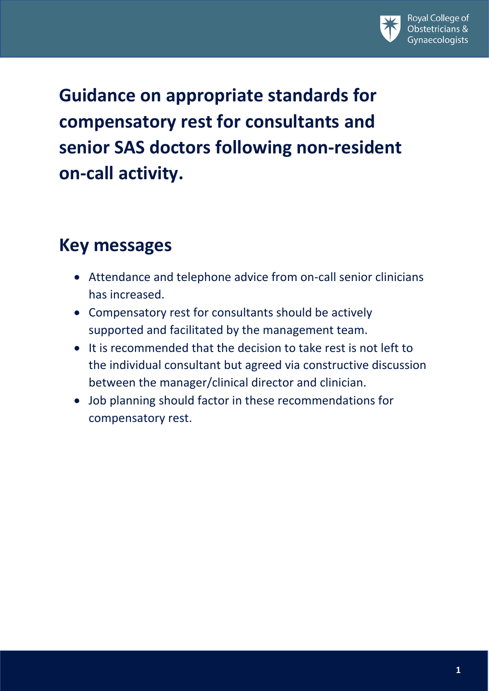

**Guidance on appropriate standards for compensatory rest for consultants and senior SAS doctors following non-resident on-call activity.**

#### **Key messages**

- Attendance and telephone advice from on-call senior clinicians has increased.
- Compensatory rest for consultants should be actively supported and facilitated by the management team.
- It is recommended that the decision to take rest is not left to the individual consultant but agreed via constructive discussion between the manager/clinical director and clinician.
- Job planning should factor in these recommendations for compensatory rest.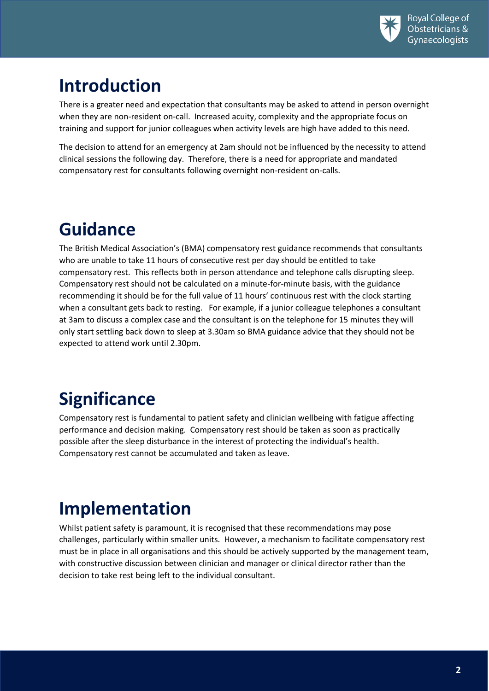

## **Introduction**

There is a greater need and expectation that consultants may be asked to attend in person overnight when they are non-resident on-call. Increased acuity, complexity and the appropriate focus on training and support for junior colleagues when activity levels are high have added to this need.

The decision to attend for an emergency at 2am should not be influenced by the necessity to attend clinical sessions the following day. Therefore, there is a need for appropriate and mandated compensatory rest for consultants following overnight non-resident on-calls.

### **Guidance**

The British Medical Association's (BMA) compensatory rest guidance recommends that consultants who are unable to take 11 hours of consecutive rest per day should be entitled to take compensatory rest. This reflects both in person attendance and telephone calls disrupting sleep. Compensatory rest should not be calculated on a minute-for-minute basis, with the guidance recommending it should be for the full value of 11 hours' continuous rest with the clock starting when a consultant gets back to resting. For example, if a junior colleague telephones a consultant at 3am to discuss a complex case and the consultant is on the telephone for 15 minutes they will only start settling back down to sleep at 3.30am so BMA guidance advice that they should not be expected to attend work until 2.30pm.

# **Significance**

Compensatory rest is fundamental to patient safety and clinician wellbeing with fatigue affecting performance and decision making. Compensatory rest should be taken as soon as practically possible after the sleep disturbance in the interest of protecting the individual's health. Compensatory rest cannot be accumulated and taken as leave.

## **Implementation**

Whilst patient safety is paramount, it is recognised that these recommendations may pose challenges, particularly within smaller units. However, a mechanism to facilitate compensatory rest must be in place in all organisations and this should be actively supported by the management team, with constructive discussion between clinician and manager or clinical director rather than the decision to take rest being left to the individual consultant.